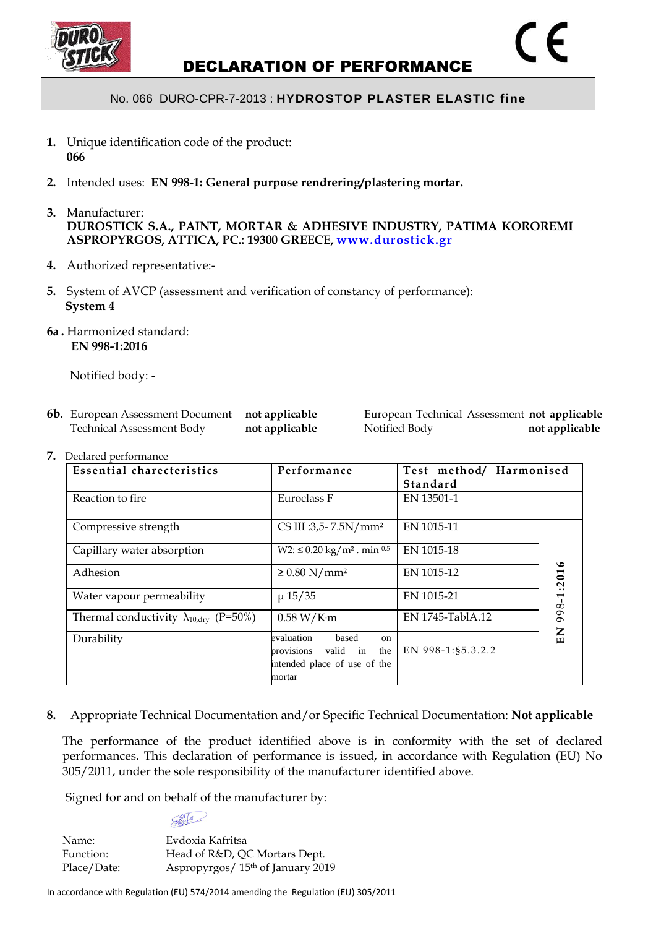

## No. 066 DURO-CPR-7-2013 : **HYDROSTOP PLASTER ELASTIC fine**

- **1.** Unique identification code of the product: **066**
- **2.** Intended uses: **EN 998-1: General purpose rendrering/plastering mortar.**
- **3.** Manufacturer: **DUROSTICK S.A., PAINT, MORTAR & ADHESIVE INDUSTRY, PATIMA KOROREMI ASPROPYRGOS, ATTICA, PC.: 19300 GREECE, [www.durostick.gr](http://www.durostick.gr/)**
- **4.** Authorized representative:-
- **5.** System of AVCP (assessment and verification of constancy of performance): **System 4**
- **6a .** Harmonized standard: **EN 998-1:2016**

Notified body: -

| <b>6b.</b> European Assessment Document | not applicable |
|-----------------------------------------|----------------|
| <b>Technical Assessment Body</b>        | not applicable |

**European Technical Assessment not applicable** Technical Assessment Body **not applicable** Notified Body **not applicable**

**7.** Declared performance

| <b>Essential charecteristics</b>                        | Performance                                                                                          | Test method/ Harmonised<br>Standard |            |
|---------------------------------------------------------|------------------------------------------------------------------------------------------------------|-------------------------------------|------------|
| Reaction to fire                                        | Euroclass F                                                                                          | EN 13501-1                          |            |
| Compressive strength                                    | CS III :3,5- 7.5N/ $mm2$                                                                             | EN 1015-11                          |            |
| Capillary water absorption                              | $W2: \leq 0.20 \text{ kg/m}^2$ . min 0.5                                                             | EN 1015-18                          |            |
| Adhesion                                                | $\geq 0.80$ N/mm <sup>2</sup>                                                                        | EN 1015-12                          | 998-1:2016 |
| Water vapour permeability                               | $\mu$ 15/35                                                                                          | EN 1015-21                          |            |
| Thermal conductivity $\lambda_{10, \text{dry}}$ (P=50%) | 0.58 W/Km                                                                                            | EN 1745-TablA.12                    |            |
| Durability                                              | evaluation<br>based<br>on<br>provisions<br>valid in<br>the<br>intended place of use of the<br>mortar | EN 998-1:85.3.2.2                   | EN         |

**8.** Appropriate Technical Documentation and/or Specific Technical Documentation: **Not applicable**

The performance of the product identified above is in conformity with the set of declared performances. This declaration of performance is issued, in accordance with Regulation (EU) No 305/2011, under the sole responsibility of the manufacturer identified above.

Signed for and on behalf of the manufacturer by:

 $\bigoplus$ 

Name<sup>®</sup> Evdoxia Kafritsa Function: Head of R&D, QC Mortars Dept. Place/Date: Aspropyrgos/ 15<sup>th</sup> of January 2019

In accordance with Regulation (EU) 574/2014 amending the Regulation (EU) 305/2011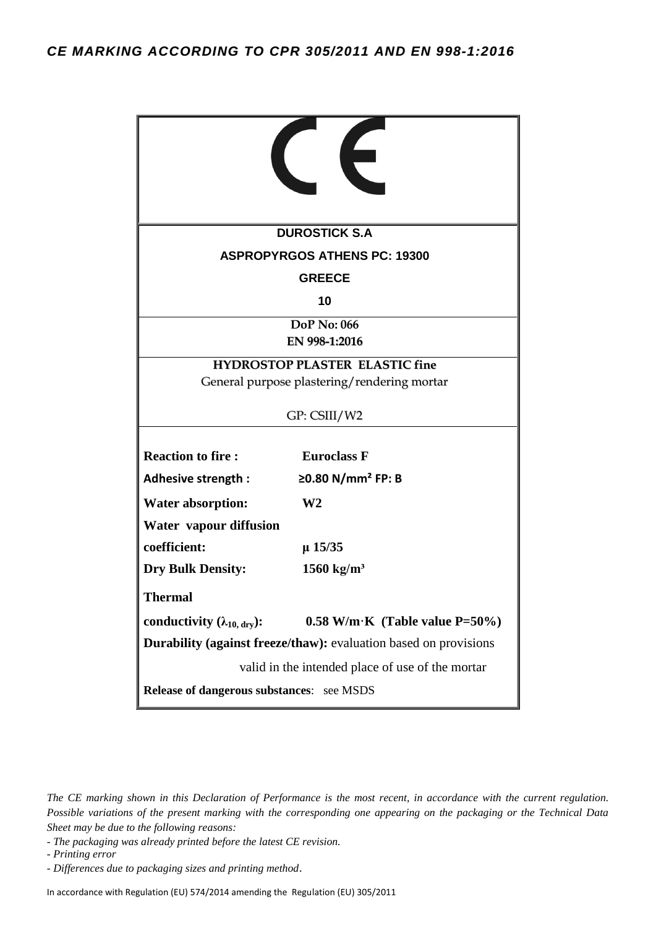|                                                                                      | <b>DUROSTICK S.A</b>                                |  |  |  |
|--------------------------------------------------------------------------------------|-----------------------------------------------------|--|--|--|
|                                                                                      |                                                     |  |  |  |
| <b>ASPROPYRGOS ATHENS PC: 19300</b>                                                  |                                                     |  |  |  |
| <b>GREECE</b><br>10                                                                  |                                                     |  |  |  |
| <b>DoP</b> No: 066<br>EN 998-1:2016                                                  |                                                     |  |  |  |
| <b>HYDROSTOP PLASTER ELASTIC fine</b><br>General purpose plastering/rendering mortar |                                                     |  |  |  |
| GP: CSIII/W2                                                                         |                                                     |  |  |  |
| <b>Reaction to fire:</b><br>Adhesive strength :                                      | <b>Euroclass F</b><br>≥0.80 N/mm <sup>2</sup> FP: B |  |  |  |
| <b>Water absorption:</b>                                                             | W <sub>2</sub>                                      |  |  |  |
| Water vapour diffusion                                                               |                                                     |  |  |  |
| coefficient:                                                                         | $\mu$ 15/35                                         |  |  |  |
| <b>Dry Bulk Density:</b>                                                             | 1560 kg/m <sup>3</sup>                              |  |  |  |
| <b>Thermal</b>                                                                       |                                                     |  |  |  |
| conductivity $(\lambda_{10, \text{ dry}})$ :                                         | $0.58$ W/m·K (Table value P=50%)                    |  |  |  |
| <b>Durability (against freeze/thaw):</b> evaluation based on provisions              |                                                     |  |  |  |
| valid in the intended place of use of the mortar                                     |                                                     |  |  |  |
| Release of dangerous substances: see MSDS                                            |                                                     |  |  |  |

*- The packaging was already printed before the latest CE revision.*

*- Printing error*

In accordance with Regulation (EU) 574/2014 amending the Regulation (EU) 305/2011

*The CE marking shown in this Declaration of Performance is the most recent, in accordance with the current regulation. Possible variations of the present marking with the corresponding one appearing on the packaging or the Technical Data Sheet may be due to the following reasons:*

*<sup>-</sup> Differences due to packaging sizes and printing method*.